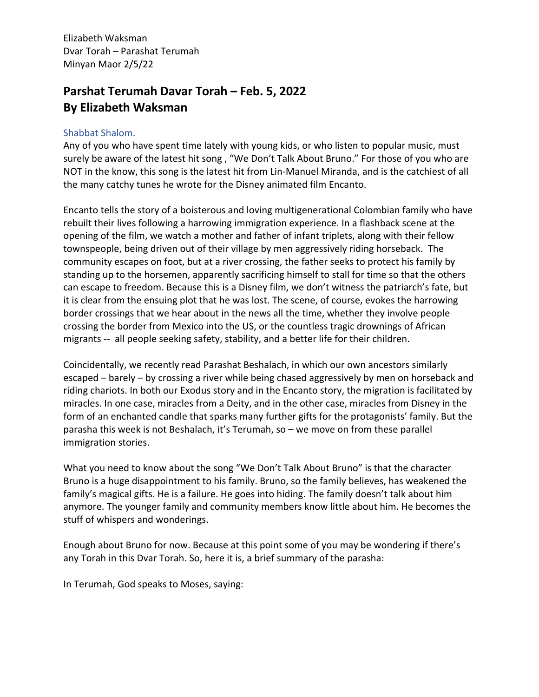## **Parshat Terumah Davar Torah – Feb. 5, 2022 By Elizabeth Waksman**

## Shabbat Shalom.

Any of you who have spent time lately with young kids, or who listen to popular music, must surely be aware of the latest hit song, "We Don't Talk About Bruno." For those of you who are NOT in the know, this song is the latest hit from Lin-Manuel Miranda, and is the catchiest of all the many catchy tunes he wrote for the Disney animated film Encanto.

Encanto tells the story of a boisterous and loving multigenerational Colombian family who have rebuilt their lives following a harrowing immigration experience. In a flashback scene at the opening of the film, we watch a mother and father of infant triplets, along with their fellow townspeople, being driven out of their village by men aggressively riding horseback. The community escapes on foot, but at a river crossing, the father seeks to protect his family by standing up to the horsemen, apparently sacrificing himself to stall for time so that the others can escape to freedom. Because this is a Disney film, we don't witness the patriarch's fate, but it is clear from the ensuing plot that he was lost. The scene, of course, evokes the harrowing border crossings that we hear about in the news all the time, whether they involve people crossing the border from Mexico into the US, or the countless tragic drownings of African migrants -- all people seeking safety, stability, and a better life for their children.

Coincidentally, we recently read Parashat Beshalach, in which our own ancestors similarly escaped – barely – by crossing a river while being chased aggressively by men on horseback and riding chariots. In both our Exodus story and in the Encanto story, the migration is facilitated by miracles. In one case, miracles from a Deity, and in the other case, miracles from Disney in the form of an enchanted candle that sparks many further gifts for the protagonists' family. But the parasha this week is not Beshalach, it's Terumah, so – we move on from these parallel immigration stories.

What you need to know about the song "We Don't Talk About Bruno" is that the character Bruno is a huge disappointment to his family. Bruno, so the family believes, has weakened the family's magical gifts. He is a failure. He goes into hiding. The family doesn't talk about him anymore. The younger family and community members know little about him. He becomes the stuff of whispers and wonderings.

Enough about Bruno for now. Because at this point some of you may be wondering if there's any Torah in this Dvar Torah. So, here it is, a brief summary of the parasha:

In Terumah, God speaks to Moses, saying: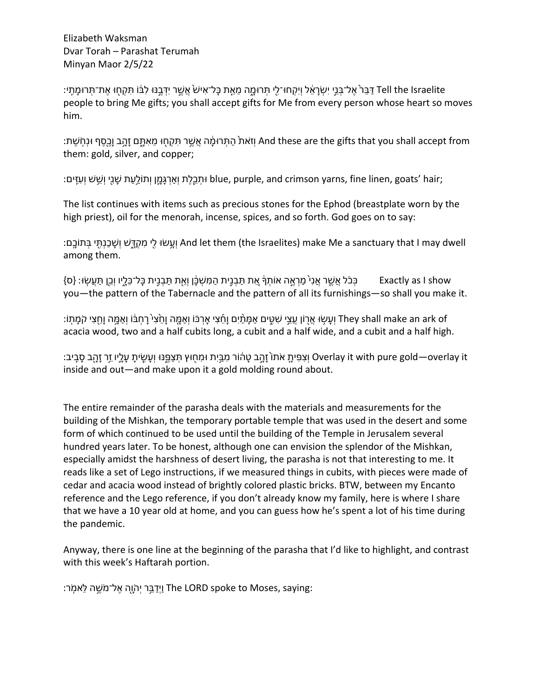Tell the Israelite דַּבֵּר אֶל־בְּנֵי יִשְׂרַאֶל וְיִקְחוּ־לֵי תִּרוּמַה מֵאֵת בַּל־אִישׂ אֲשֶׁר יִדְּבֵבּוּ לִבּוֹ תִּקְחוּ אֶת־תְּרוּמֶתֶי: people to bring Me gifts; you shall accept gifts for Me from every person whose heart so moves him.

:מתְּרוּמֵ֫ה אשִׁר תִּקְחוּ מאִתְּם זהב ובסף וּנחֹשִׁת And these are the gifts that you shall accept from them: gold, silver, and copper;

:וּתְבֵלֶת וְאַרְגְּמֵן וְתוֹלֵעַת שַׁנֵי וְשֵׁשׁ וְעָזִּים blue, purple, and crimson yarns, fine linen, goats' hair;

The list continues with items such as precious stones for the Ephod (breastplate worn by the high priest), oil for the menorah, incense, spices, and so forth. God goes on to say:

:וַעֲשׂוּ לֵי מִקְדָּשׁ וְשָׁבַנִתְּי בִּתוֹבֵם And let them (the Israelites) make Me a sanctuary that I may dwell among them.

ּמַטְּבָּ֫וָ תַּבְנֵית כַּל־כֵּלֵיו וְבֵן תַּעֲשָׂוּ׃ {ס} [אַ πַבְּבֵית הַמְּשִׁבַּן וְאֶת תַּבְנֵית כַּל־כֵּלֵיו וְבֵן תַּעֲשָׂוּ׃ {ס you—the pattern of the Tabernacle and the pattern of all its furnishings—so shall you make it.

יִעָּשִׁוּ אֵרְוֹן עֵצֵי שִׁמֶּים אַמָּמַ֫חָ וָחֵצִי הָמָה וָחֵצִי קִמָּה וָחֵצִי קֹמָתְוֹ׃ They shall make an ark of acacia wood, two and a half cubits long, a cubit and a half wide, and a cubit and a half high.

ּוֹצִפִּיהַ עָׂהוֹר מְבֵּיִת וּמִחְוּץ תִּצַפֵּ֣נּוּ וְעָשֶׂיתָ עָלֵ֣יו זֵר זָהָ֑ב סָבֵיב׃ Overlay it with pure gold—overlay it inside and out—and make upon it a gold molding round about.

The entire remainder of the parasha deals with the materials and measurements for the building of the Mishkan, the temporary portable temple that was used in the desert and some form of which continued to be used until the building of the Temple in Jerusalem several hundred years later. To be honest, although one can envision the splendor of the Mishkan, especially amidst the harshness of desert living, the parasha is not that interesting to me. It reads like a set of Lego instructions, if we measured things in cubits, with pieces were made of cedar and acacia wood instead of brightly colored plastic bricks. BTW, between my Encanto reference and the Lego reference, if you don't already know my family, here is where I share that we have a 10 year old at home, and you can guess how he's spent a lot of his time during the pandemic.

Anyway, there is one line at the beginning of the parasha that I'd like to highlight, and contrast with this week's Haftarah portion.

:יַחֲיָה אֵל־מֹשֵׁה לֵאמִׂר The LORD spoke to Moses, saying: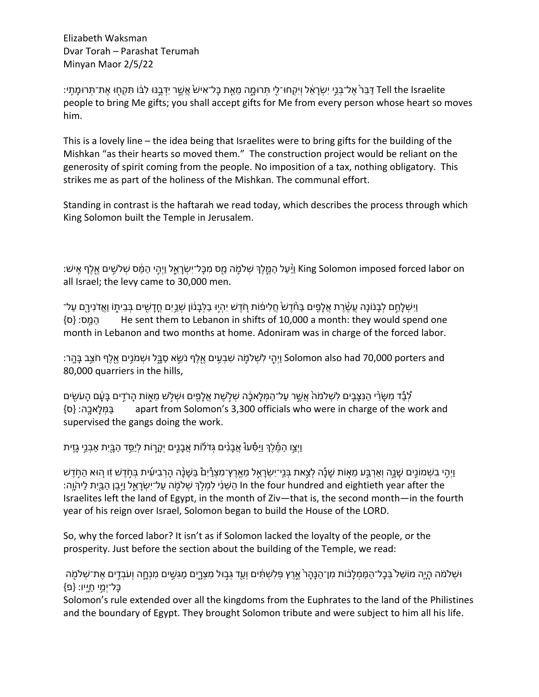Tell the Israelite דַּבֵּרֹ אֱל־בָּנֵי יִשְׂרַאֵ֫ל וְיִקְחוּ־לֵי תִּרוּמֵה מֵאֵת בַּל־אִישׂ אֲשֶׁר יִדְּבֵנּוּ לְבוֹ תִּקְחוּ אֶת־תְּרוּמֶתֶי: people to bring Me gifts; you shall accept gifts for Me from every person whose heart so moves him.

This is a lovely line – the idea being that Israelites were to bring gifts for the building of the Mishkan "as their hearts so moved them." The construction project would be reliant on the generosity of spirit coming from the people. No imposition of a tax, nothing obligatory. This strikes me as part of the holiness of the Mishkan. The communal effort.

Standing in contrast is the haftarah we read today, which describes the process through which King Solomon built the Temple in Jerusalem.

יָּשׁ: Ning Solomon imposed forced labor on וַ<sup>נְ</sup>עַל הָמֱלֵךְ שְׁלֹמֶה מֵס מִכְּל־יִשְׂרַאֵל וַיָּהֵי הַמַּ֫ס שְׁלֹשֵׁים אֱלֵף אֵישׁ: all Israel; the levy came to 30,000 men.

ַיְיִשְׁלָחֵם לְבָנוֹנַה עֱשֶׂרֵת אֱלָפֵים בַּחֲדֵשׁ חֲלִיפוֹת חִדֵשׁ יְהִיוּ בַלְבָנוֹן שְׁבֵיִם חֲדַשִׁים בְּבֵיתוֹ וַאֲדֹנִירֵם עַל־ }ס }הַמַּֽ׃ס He sent them to Lebanon in shifts of 10,000 a month: they would spend one month in Lebanon and two months at home. Adoniram was in charge of the forced labor.

יֵהִי לִשְׁלֹמֶה שִׁבְעִים אֵלְרָ נֹשֵׂא סַבֲל וּשְׁמֹנֵים אֵלֵף חֹצֵב בָּהֵר: Solomon also had 70,000 porters and 80,000 quarriers in the hills,

ַּלְבָדָ מִשָּׂיֵ•ִי הַנִּצָּבֵים לִשְׁלֹמֹה אֲשֶׁר עַל־הַמְּלַאבֶּׁה שְׁלְשֶׁת אֲלַפֵים וּשְׁלְשׁ מֵאָוֹת הַרֹדֵים בַּעַּם הַעֹשִׂים }ס }בַּמְּלָכאָֽ׃ה apart from Solomon's 3,300 officials who were in charge of the work and supervised the gangs doing the work.

ַיְוַצֵּו הַמֶּלֵךְ וַיַּסָּעוֹּ אֲבַנָים גִּדֹלֹוֹת אֲבַנֵים יִקְרֵוֹת לִיסֵד הַבַּיִת אַבְנֵי גֵזִית [

ַיְוֵהֵי בְשָׁמוֹנֵים שֶׁנֵה וְאַרְבֵּע מֵאָוֹת שָׁנָה לְצֵאת בְּנֵי־יִשְׂרָאֱל מֶאֱרֵץ־מִצְרָּיִם בַּשָּׁנָָה הָרְבִיעִית בִּחְדֵשׁ זָו הִוּא הַחְדֵשׁ th the four hundred and eightieth year after the הַשֵּׁנִי לִמְלְךָּ שְׁלֹמָה עֲל־יִשְׂרַאֱל וַיִּבֵּן הַבֵּיִת לַיהֹוֵה: Israelites left the land of Egypt, in the month of Ziv—that is, the second month—in the fourth year of his reign over Israel, Solomon began to build the House of the LORD.

So, why the forced labor? It isn't as if Solomon lacked the loyalty of the people, or the prosperity. Just before the section about the building of the Temple, we read:

ּוּשָׁלֹמֹה הָיֶה מוֹשֵׁל בְּבָל־הַמַּמְלָבּוֹת מִן־הַנָּהָרֹ אֱרֶץ פִּלְשָׁתִּ֫ים וְעַדְ גִּבְוּל מִצְרֶיִם מַגְּשֵׁים מִנְחֱה וְעֹבְדֶים אֱת־שָׁלֹמָה ַּ בַּל־ימי חײו: {פ

Solomon's rule extended over all the kingdoms from the Euphrates to the land of the Philistines and the boundary of Egypt. They brought Solomon tribute and were subject to him all his life.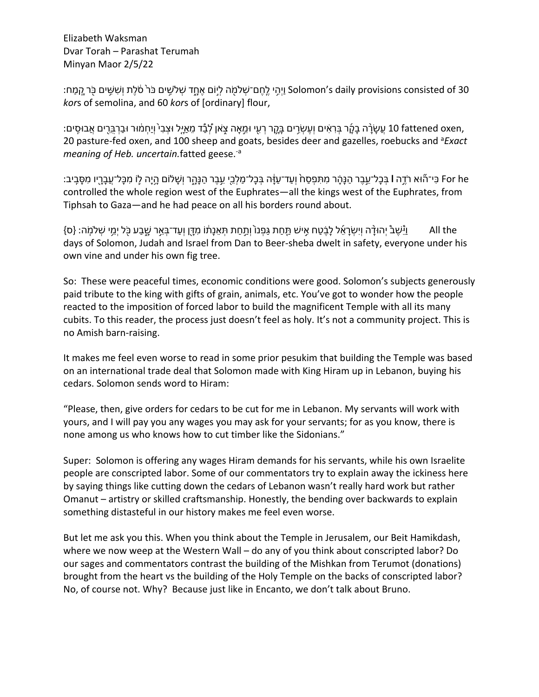יֵהֵי לֵחֲם־שָׁלֹמֵה לְיוֹם אֶחֲד שִׁלֹשִׁים בֹּר<sup>ָ</sup> סֹלֵת וְשָׁשִּׁים בִּר קַמֶּח; 'solomon's daily provisions consisted of 30 *kor*s of semolina, and 60 *kor*s of [ordinary] flour,

,10 fattened oxen שֵׁשַׂרָה בַקָר בְּרָאִים וְעֶשְׂרֵים בַּקֶר רְעִי וּמֵאַה צְאון לְבָדָ מֵאֵיֵּל וּצָבִי ווחָמוּר וּבַרְבַּרֵים אֲבוּסִים: 20 pasture-fed oxen, and 100 sheep and goats, besides deer and gazelles, roebucks and <sup>a</sup>Exact *meaning of Heb. uncertain.*fatted geese.-a

ّ For he הַי־הוֹא רֹדֵה l בִּבַל־עֵבֶר הַנַּה מִתִּפְסַח וְעַד־עַזֵּה בִּבַל־מַלְבֵי עֵבֶר הַנַּה רְוֹשַׁלוֹם הֵיַה לַוֹ מִכַּל־עַבַרֵיו מִסֶּבֵיב: controlled the whole region west of the Euphrates—all the kings west of the Euphrates, from Tiphsah to Gaza—and he had peace on all his borders round about.

 the All ָל לֵ֜אָרְשִׂיְו הָ֨דוּהְי ֩בֶשֵׁ֩יַּו ׃הֽ ֹמ•ְשׁ יֵ֥מְי ל֖ ֹכּ עַבָ֑שׁ רֵ֣אְבּ־דַעְו ןָ֖דִּמ וֹ֔תָנֵאְתּ תַחַ֣תְו ֙וֹנְפַגּ תַחַ֤תּ שׁיִ֣א חַטֶ֗ב }ס{ days of Solomon, Judah and Israel from Dan to Beer-sheba dwelt in safety, everyone under his own vine and under his own fig tree.

So: These were peaceful times, economic conditions were good. Solomon's subjects generously paid tribute to the king with gifts of grain, animals, etc. You've got to wonder how the people reacted to the imposition of forced labor to build the magnificent Temple with all its many cubits. To this reader, the process just doesn't feel as holy. It's not a community project. This is no Amish barn-raising.

It makes me feel even worse to read in some prior pesukim that building the Temple was based on an international trade deal that Solomon made with King Hiram up in Lebanon, buying his cedars. Solomon sends word to Hiram:

"Please, then, give orders for cedars to be cut for me in Lebanon. My servants will work with yours, and I will pay you any wages you may ask for your servants; for as you know, there is none among us who knows how to cut timber like the Sidonians."

Super: Solomon is offering any wages Hiram demands for his servants, while his own Israelite people are conscripted labor. Some of our commentators try to explain away the ickiness here by saying things like cutting down the cedars of Lebanon wasn't really hard work but rather Omanut – artistry or skilled craftsmanship. Honestly, the bending over backwards to explain something distasteful in our history makes me feel even worse.

But let me ask you this. When you think about the Temple in Jerusalem, our Beit Hamikdash, where we now weep at the Western Wall – do any of you think about conscripted labor? Do our sages and commentators contrast the building of the Mishkan from Terumot (donations) brought from the heart vs the building of the Holy Temple on the backs of conscripted labor? No, of course not. Why? Because just like in Encanto, we don't talk about Bruno.